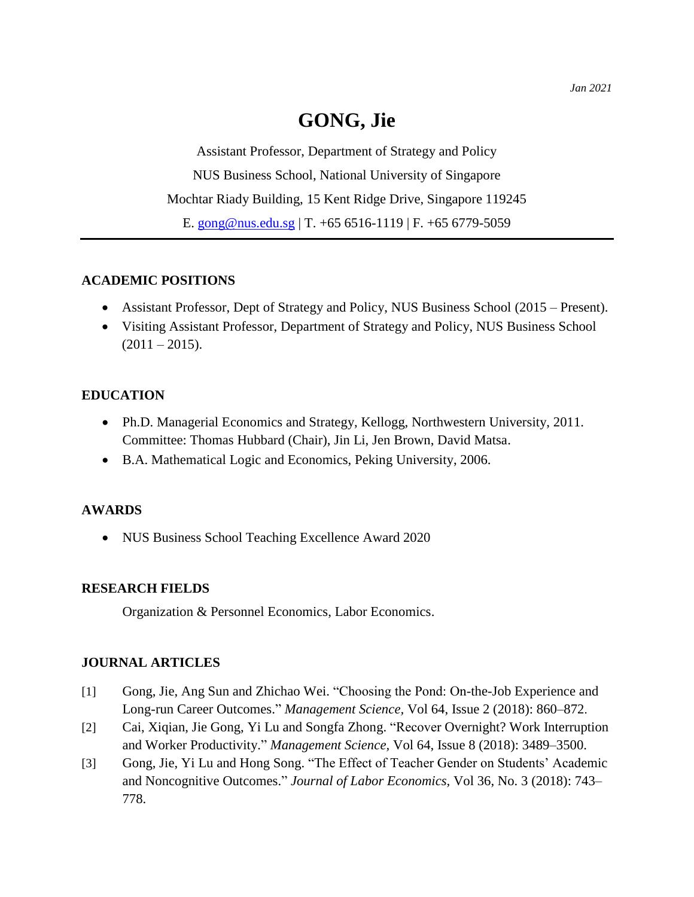Assistant Professor, Department of Strategy and Policy NUS Business School, National University of Singapore Mochtar Riady Building, 15 Kent Ridge Drive, Singapore 119245 E. [gong@nus.edu.sg](mailto:gong@nus.edu.sg) | T. +65 6516-1119 | F. +65 6779-5059

# **ACADEMIC POSITIONS**

- Assistant Professor, Dept of Strategy and Policy, NUS Business School (2015 Present).
- Visiting Assistant Professor, Department of Strategy and Policy, NUS Business School  $(2011 - 2015).$

# **EDUCATION**

- Ph.D. Managerial Economics and Strategy, Kellogg, Northwestern University, 2011. Committee: Thomas Hubbard (Chair), Jin Li, Jen Brown, David Matsa.
- B.A. Mathematical Logic and Economics, Peking University, 2006.

## **AWARDS**

• NUS Business School Teaching Excellence Award 2020

## **RESEARCH FIELDS**

Organization & Personnel Economics, Labor Economics.

## **JOURNAL ARTICLES**

- [1] Gong, Jie, Ang Sun and Zhichao Wei. "Choosing the Pond: On-the-Job Experience and Long-run Career Outcomes." *Management Science,* Vol 64, Issue 2 (2018): 860–872.
- [2] Cai, Xiqian, Jie Gong, Yi Lu and Songfa Zhong. "Recover Overnight? Work Interruption and Worker Productivity." *Management Science,* Vol 64, Issue 8 (2018): 3489–3500.
- [3] Gong, Jie, Yi Lu and Hong Song. "The Effect of Teacher Gender on Students' Academic and Noncognitive Outcomes." *Journal of Labor Economics,* Vol 36, No. 3 (2018): 743– 778.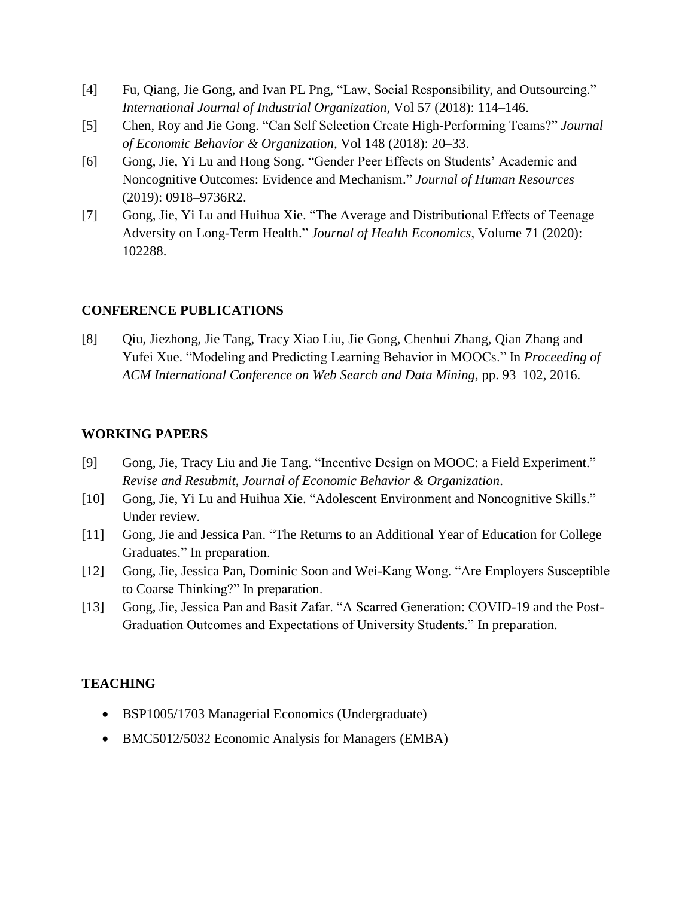- [4] Fu, Qiang, Jie Gong, and Ivan PL Png, "Law, Social Responsibility, and Outsourcing." *International Journal of Industrial Organization,* Vol 57 (2018): 114–146.
- [5] Chen, Roy and Jie Gong. "Can Self Selection Create High-Performing Teams?" *Journal of Economic Behavior & Organization,* Vol 148 (2018): 20–33.
- [6] Gong, Jie, Yi Lu and Hong Song. "Gender Peer Effects on Students' Academic and Noncognitive Outcomes: Evidence and Mechanism." *Journal of Human Resources* (2019): 0918–9736R2.
- [7] Gong, Jie, Yi Lu and Huihua Xie. "The Average and Distributional Effects of Teenage Adversity on Long-Term Health." *Journal of Health Economics*, Volume 71 (2020): 102288.

## **CONFERENCE PUBLICATIONS**

[8] Qiu, Jiezhong, Jie Tang, Tracy Xiao Liu, Jie Gong, Chenhui Zhang, Qian Zhang and Yufei Xue. "Modeling and Predicting Learning Behavior in MOOCs." In *Proceeding of ACM International Conference on Web Search and Data Mining*, pp. 93–102, 2016.

#### **WORKING PAPERS**

- [9] Gong, Jie, Tracy Liu and Jie Tang. "Incentive Design on MOOC: a Field Experiment." *Revise and Resubmit*, *Journal of Economic Behavior & Organization*.
- [10] Gong, Jie, Yi Lu and Huihua Xie. "Adolescent Environment and Noncognitive Skills." Under review.
- [11] Gong, Jie and Jessica Pan. "The Returns to an Additional Year of Education for College Graduates." In preparation.
- [12] Gong, Jie, Jessica Pan, Dominic Soon and Wei-Kang Wong. "Are Employers Susceptible to Coarse Thinking?" In preparation.
- [13] Gong, Jie, Jessica Pan and Basit Zafar. "A Scarred Generation: COVID-19 and the Post-Graduation Outcomes and Expectations of University Students." In preparation.

#### **TEACHING**

- BSP1005/1703 Managerial Economics (Undergraduate)
- BMC5012/5032 Economic Analysis for Managers (EMBA)